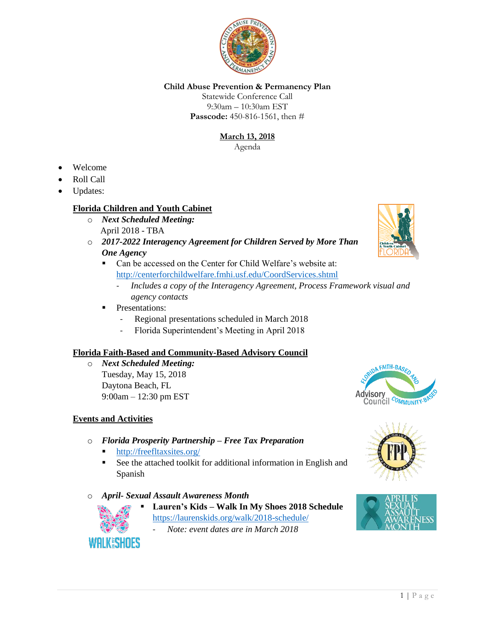

# **Child Abuse Prevention & Permanency Plan**

Statewide Conference Call 9:30am – 10:30am EST **Passcode:** 450-816-1561, then #

# **March 13, 2018**

Agenda

- Welcome
- Roll Call
- Updates:

### **Florida Children and Youth Cabinet**

- o *Next Scheduled Meeting:* April 2018 - TBA
- o *2017-2022 Interagency Agreement for Children Served by More Than One Agency* 
	- Can be accessed on the Center for Child Welfare's website at: <http://centerforchildwelfare.fmhi.usf.edu/CoordServices.shtml>
		- *Includes a copy of the Interagency Agreement, Process Framework visual and agency contacts*
	- **•** Presentations:
		- Regional presentations scheduled in March 2018
		- Florida Superintendent's Meeting in April 2018

# **Florida Faith-Based and Community-Based Advisory Council**

o *Next Scheduled Meeting:*  Tuesday, May 15, 2018 Daytona Beach, FL 9:00am – 12:30 pm EST

### **Events and Activities**

**WALKESHOES** 

- o *Florida Prosperity Partnership – Free Tax Preparation*
	- <http://freefltaxsites.org/>
	- See the attached toolkit for additional information in English and Spanish
- o *April- Sexual Assault Awareness Month*
	- **Lauren's Kids – Walk In My Shoes 2018 Schedule** <https://laurenskids.org/walk/2018-schedule/>
		- *Note: event dates are in March 2018*





Advisory<br>Council COMMUNITY